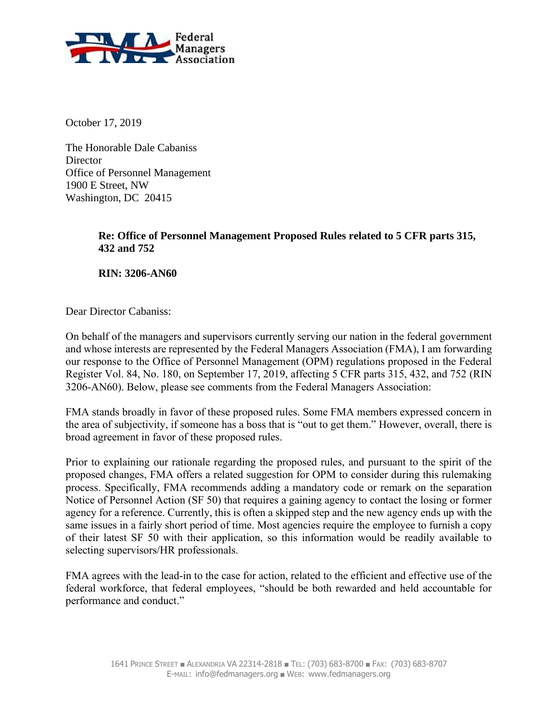

October 17, 2019

The Honorable Dale Cabaniss Director Office of Personnel Management 1900 E Street, NW Washington, DC 20415

## **Re: Office of Personnel Management Proposed Rules related to 5 CFR parts 315, 432 and 752**

**RIN: 3206-AN60**

Dear Director Cabaniss:

On behalf of the managers and supervisors currently serving our nation in the federal government and whose interests are represented by the Federal Managers Association (FMA), I am forwarding our response to the Office of Personnel Management (OPM) regulations proposed in the Federal Register Vol. 84, No. 180, on September 17, 2019, affecting 5 CFR parts 315, 432, and 752 (RIN 3206-AN60). Below, please see comments from the Federal Managers Association:

FMA stands broadly in favor of these proposed rules. Some FMA members expressed concern in the area of subjectivity, if someone has a boss that is "out to get them." However, overall, there is broad agreement in favor of these proposed rules.

Prior to explaining our rationale regarding the proposed rules, and pursuant to the spirit of the proposed changes, FMA offers a related suggestion for OPM to consider during this rulemaking process. Specifically, FMA recommends adding a mandatory code or remark on the separation Notice of Personnel Action (SF 50) that requires a gaining agency to contact the losing or former agency for a reference. Currently, this is often a skipped step and the new agency ends up with the same issues in a fairly short period of time. Most agencies require the employee to furnish a copy of their latest SF 50 with their application, so this information would be readily available to selecting supervisors/HR professionals.

FMA agrees with the lead-in to the case for action, related to the efficient and effective use of the federal workforce, that federal employees, "should be both rewarded and held accountable for performance and conduct."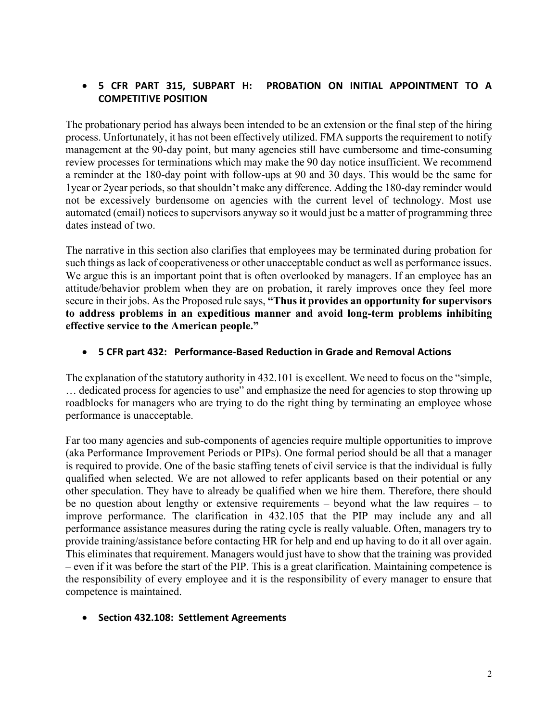## • **5 CFR PART 315, SUBPART H: PROBATION ON INITIAL APPOINTMENT TO A COMPETITIVE POSITION**

The probationary period has always been intended to be an extension or the final step of the hiring process. Unfortunately, it has not been effectively utilized. FMA supports the requirement to notify management at the 90-day point, but many agencies still have cumbersome and time-consuming review processes for terminations which may make the 90 day notice insufficient. We recommend a reminder at the 180-day point with follow-ups at 90 and 30 days. This would be the same for 1year or 2year periods, so that shouldn't make any difference. Adding the 180-day reminder would not be excessively burdensome on agencies with the current level of technology. Most use automated (email) notices to supervisors anyway so it would just be a matter of programming three dates instead of two.

The narrative in this section also clarifies that employees may be terminated during probation for such things as lack of cooperativeness or other unacceptable conduct as well as performance issues. We argue this is an important point that is often overlooked by managers. If an employee has an attitude/behavior problem when they are on probation, it rarely improves once they feel more secure in their jobs. As the Proposed rule says, **"Thus it provides an opportunity for supervisors to address problems in an expeditious manner and avoid long-term problems inhibiting effective service to the American people."**

#### • **5 CFR part 432: Performance-Based Reduction in Grade and Removal Actions**

The explanation of the statutory authority in 432.101 is excellent. We need to focus on the "simple, … dedicated process for agencies to use" and emphasize the need for agencies to stop throwing up roadblocks for managers who are trying to do the right thing by terminating an employee whose performance is unacceptable.

Far too many agencies and sub-components of agencies require multiple opportunities to improve (aka Performance Improvement Periods or PIPs). One formal period should be all that a manager is required to provide. One of the basic staffing tenets of civil service is that the individual is fully qualified when selected. We are not allowed to refer applicants based on their potential or any other speculation. They have to already be qualified when we hire them. Therefore, there should be no question about lengthy or extensive requirements – beyond what the law requires – to improve performance. The clarification in 432.105 that the PIP may include any and all performance assistance measures during the rating cycle is really valuable. Often, managers try to provide training/assistance before contacting HR for help and end up having to do it all over again. This eliminates that requirement. Managers would just have to show that the training was provided – even if it was before the start of the PIP. This is a great clarification. Maintaining competence is the responsibility of every employee and it is the responsibility of every manager to ensure that competence is maintained.

### • **Section 432.108: Settlement Agreements**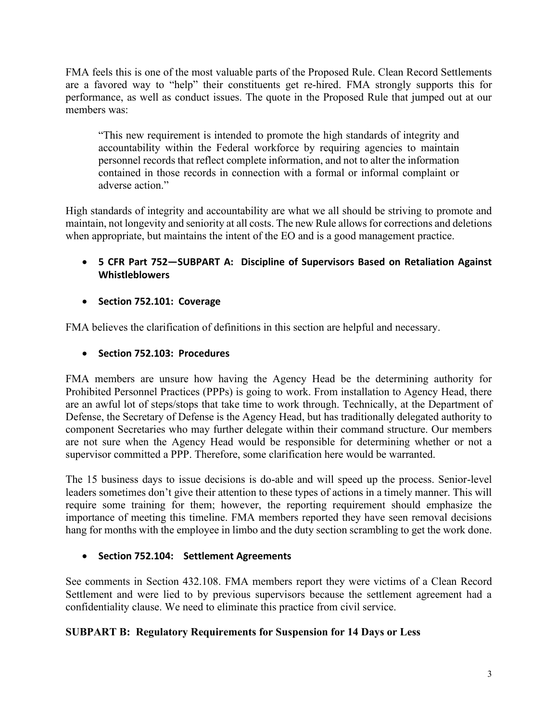FMA feels this is one of the most valuable parts of the Proposed Rule. Clean Record Settlements are a favored way to "help" their constituents get re-hired. FMA strongly supports this for performance, as well as conduct issues. The quote in the Proposed Rule that jumped out at our members was:

"This new requirement is intended to promote the high standards of integrity and accountability within the Federal workforce by requiring agencies to maintain personnel records that reflect complete information, and not to alter the information contained in those records in connection with a formal or informal complaint or adverse action."

High standards of integrity and accountability are what we all should be striving to promote and maintain, not longevity and seniority at all costs. The new Rule allows for corrections and deletions when appropriate, but maintains the intent of the EO and is a good management practice.

- **5 CFR Part 752—SUBPART A: Discipline of Supervisors Based on Retaliation Against Whistleblowers**
- **Section 752.101: Coverage**

FMA believes the clarification of definitions in this section are helpful and necessary.

• **Section 752.103: Procedures**

FMA members are unsure how having the Agency Head be the determining authority for Prohibited Personnel Practices (PPPs) is going to work. From installation to Agency Head, there are an awful lot of steps/stops that take time to work through. Technically, at the Department of Defense, the Secretary of Defense is the Agency Head, but has traditionally delegated authority to component Secretaries who may further delegate within their command structure. Our members are not sure when the Agency Head would be responsible for determining whether or not a supervisor committed a PPP. Therefore, some clarification here would be warranted.

The 15 business days to issue decisions is do-able and will speed up the process. Senior-level leaders sometimes don't give their attention to these types of actions in a timely manner. This will require some training for them; however, the reporting requirement should emphasize the importance of meeting this timeline. FMA members reported they have seen removal decisions hang for months with the employee in limbo and the duty section scrambling to get the work done.

• **Section 752.104: Settlement Agreements**

See comments in Section 432.108. FMA members report they were victims of a Clean Record Settlement and were lied to by previous supervisors because the settlement agreement had a confidentiality clause. We need to eliminate this practice from civil service.

# **SUBPART B: Regulatory Requirements for Suspension for 14 Days or Less**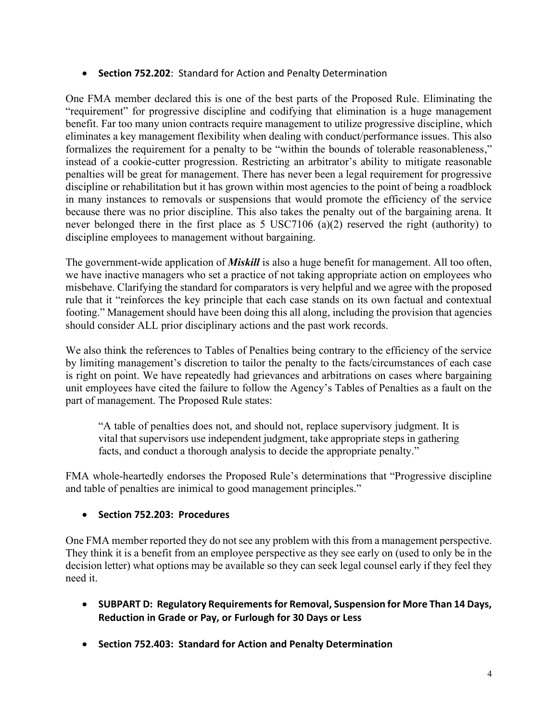• **Section 752.202**: Standard for Action and Penalty Determination

One FMA member declared this is one of the best parts of the Proposed Rule. Eliminating the "requirement" for progressive discipline and codifying that elimination is a huge management benefit. Far too many union contracts require management to utilize progressive discipline, which eliminates a key management flexibility when dealing with conduct/performance issues. This also formalizes the requirement for a penalty to be "within the bounds of tolerable reasonableness," instead of a cookie-cutter progression. Restricting an arbitrator's ability to mitigate reasonable penalties will be great for management. There has never been a legal requirement for progressive discipline or rehabilitation but it has grown within most agencies to the point of being a roadblock in many instances to removals or suspensions that would promote the efficiency of the service because there was no prior discipline. This also takes the penalty out of the bargaining arena. It never belonged there in the first place as 5 USC7106 (a)(2) reserved the right (authority) to discipline employees to management without bargaining.

The government-wide application of *Miskill* is also a huge benefit for management. All too often, we have inactive managers who set a practice of not taking appropriate action on employees who misbehave. Clarifying the standard for comparators is very helpful and we agree with the proposed rule that it "reinforces the key principle that each case stands on its own factual and contextual footing." Management should have been doing this all along, including the provision that agencies should consider ALL prior disciplinary actions and the past work records.

We also think the references to Tables of Penalties being contrary to the efficiency of the service by limiting management's discretion to tailor the penalty to the facts/circumstances of each case is right on point. We have repeatedly had grievances and arbitrations on cases where bargaining unit employees have cited the failure to follow the Agency's Tables of Penalties as a fault on the part of management. The Proposed Rule states:

"A table of penalties does not, and should not, replace supervisory judgment. It is vital that supervisors use independent judgment, take appropriate steps in gathering facts, and conduct a thorough analysis to decide the appropriate penalty."

FMA whole-heartedly endorses the Proposed Rule's determinations that "Progressive discipline and table of penalties are inimical to good management principles."

# • **Section 752.203: Procedures**

One FMA member reported they do not see any problem with this from a management perspective. They think it is a benefit from an employee perspective as they see early on (used to only be in the decision letter) what options may be available so they can seek legal counsel early if they feel they need it.

- **SUBPART D: Regulatory Requirements for Removal, Suspension for More Than 14 Days, Reduction in Grade or Pay, or Furlough for 30 Days or Less**
- **Section 752.403: Standard for Action and Penalty Determination**